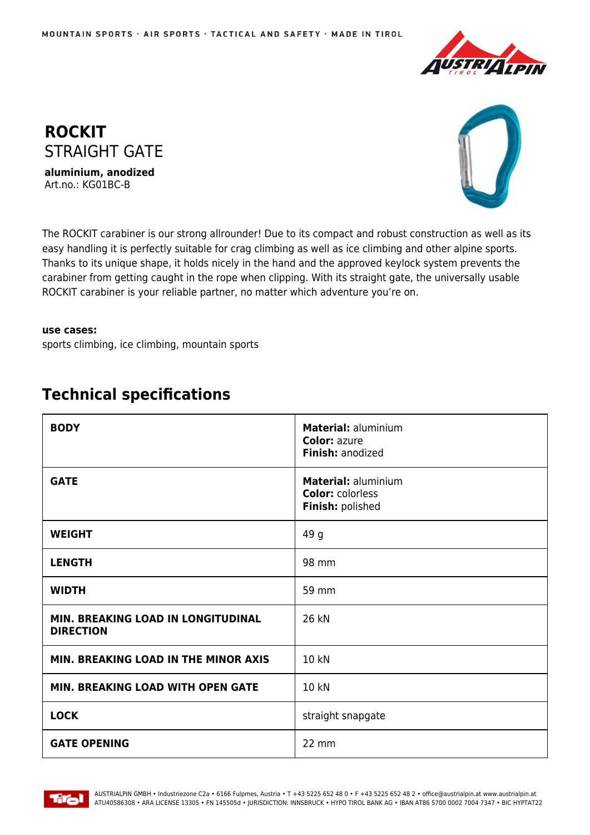



Art.no.: KG01BC-B



The ROCKIT carabiner is our strong allrounder! Due to its compact and robust construction as well as its easy handling it is perfectly suitable for crag climbing as well as ice climbing and other alpine sports. Thanks to its unique shape, it holds nicely in the hand and the approved keylock system prevents the carabiner from getting caught in the rope when clipping. With its straight gate, the universally usable ROCKIT carabiner is your reliable partner, no matter which adventure you're on.

## **use cases:**

sports climbing, ice climbing, mountain sports

## **BODY Material:** aluminium **Color:** azure **Finish:** anodized **GATE Material:** aluminium **Color:** colorless **Finish:** polished **WEIGHT** 49 g **LENGTH** 98 mm **WIDTH** 59 mm **MIN. BREAKING LOAD IN LONGITUDINAL DIRECTION** 26 kN **MIN. BREAKING LOAD IN THE MINOR AXIS | 10 kN MIN. BREAKING LOAD WITH OPEN GATE | 10 KN LOCK** straight snapgate **GATE OPENING** 22 mm

## **Technical specifications**